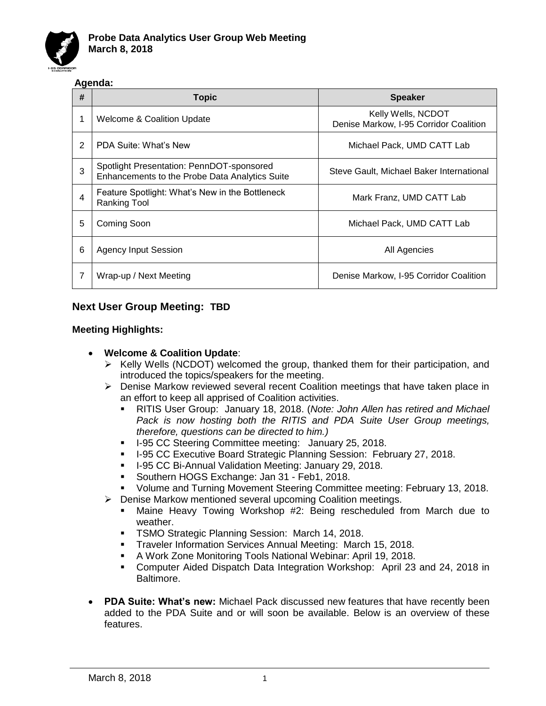

## **Agenda:**

| # | <b>Topic</b>                                                                                | <b>Speaker</b>                                               |
|---|---------------------------------------------------------------------------------------------|--------------------------------------------------------------|
| 1 | Welcome & Coalition Update                                                                  | Kelly Wells, NCDOT<br>Denise Markow, I-95 Corridor Coalition |
| 2 | PDA Suite: What's New                                                                       | Michael Pack, UMD CATT Lab                                   |
| 3 | Spotlight Presentation: PennDOT-sponsored<br>Enhancements to the Probe Data Analytics Suite | Steve Gault, Michael Baker International                     |
| 4 | Feature Spotlight: What's New in the Bottleneck<br><b>Ranking Tool</b>                      | Mark Franz, UMD CATT Lab                                     |
| 5 | Coming Soon                                                                                 | Michael Pack, UMD CATT Lab                                   |
| 6 | <b>Agency Input Session</b>                                                                 | All Agencies                                                 |
|   | Wrap-up / Next Meeting                                                                      | Denise Markow, I-95 Corridor Coalition                       |

## **Next User Group Meeting: TBD**

#### **Meeting Highlights:**

### • **Welcome & Coalition Update**:

- ➢ Kelly Wells (NCDOT) welcomed the group, thanked them for their participation, and introduced the topics/speakers for the meeting.
- ➢ Denise Markow reviewed several recent Coalition meetings that have taken place in an effort to keep all apprised of Coalition activities.
	- RITIS User Group: January 18, 2018. (*Note: John Allen has retired and Michael Pack is now hosting both the RITIS and PDA Suite User Group meetings, therefore, questions can be directed to him.)*
	- **I-95 CC Steering Committee meeting: January 25, 2018.**
	- **I-95 CC Executive Board Strategic Planning Session: February 27, 2018.**
	- I-95 CC Bi-Annual Validation Meeting: January 29, 2018.
	- Southern HOGS Exchange: Jan 31 Feb1, 2018.
	- Volume and Turning Movement Steering Committee meeting: February 13, 2018.
- ➢ Denise Markow mentioned several upcoming Coalition meetings.
	- Maine Heavy Towing Workshop #2: Being rescheduled from March due to weather.
	- **EXECT:** TSMO Strategic Planning Session: March 14, 2018.
	- **Traveler Information Services Annual Meeting: March 15, 2018.**
	- A Work Zone Monitoring Tools National Webinar: April 19, 2018.
	- Computer Aided Dispatch Data Integration Workshop: April 23 and 24, 2018 in Baltimore.
- **PDA Suite: What's new:** Michael Pack discussed new features that have recently been added to the PDA Suite and or will soon be available. Below is an overview of these features.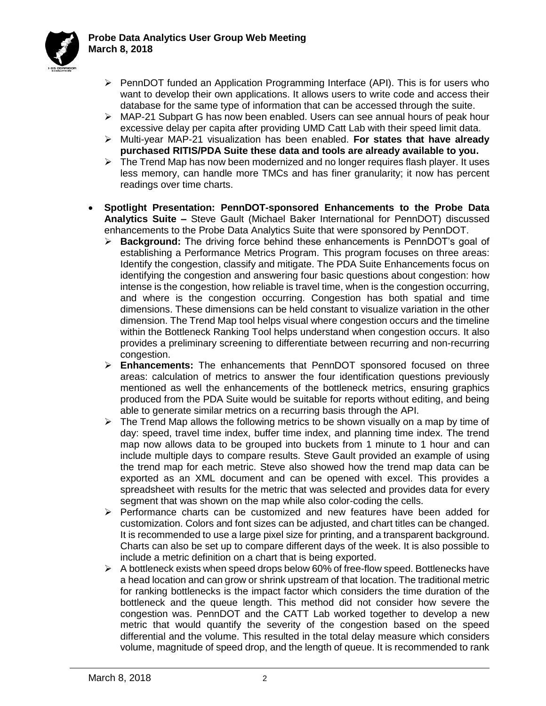

- ➢ PennDOT funded an Application Programming Interface (API). This is for users who want to develop their own applications. It allows users to write code and access their database for the same type of information that can be accessed through the suite.
- $\triangleright$  MAP-21 Subpart G has now been enabled. Users can see annual hours of peak hour excessive delay per capita after providing UMD Catt Lab with their speed limit data.
- ➢ Multi-year MAP-21 visualization has been enabled. **For states that have already purchased RITIS/PDA Suite these data and tools are already available to you.**
- ➢ The Trend Map has now been modernized and no longer requires flash player. It uses less memory, can handle more TMCs and has finer granularity; it now has percent readings over time charts.
- **Spotlight Presentation: PennDOT-sponsored Enhancements to the Probe Data Analytics Suite –** Steve Gault (Michael Baker International for PennDOT) discussed enhancements to the Probe Data Analytics Suite that were sponsored by PennDOT.
	- ➢ **Background:** The driving force behind these enhancements is PennDOT's goal of establishing a Performance Metrics Program. This program focuses on three areas: Identify the congestion, classify and mitigate. The PDA Suite Enhancements focus on identifying the congestion and answering four basic questions about congestion: how intense is the congestion, how reliable is travel time, when is the congestion occurring, and where is the congestion occurring. Congestion has both spatial and time dimensions. These dimensions can be held constant to visualize variation in the other dimension. The Trend Map tool helps visual where congestion occurs and the timeline within the Bottleneck Ranking Tool helps understand when congestion occurs. It also provides a preliminary screening to differentiate between recurring and non-recurring congestion.
	- ➢ **Enhancements:** The enhancements that PennDOT sponsored focused on three areas: calculation of metrics to answer the four identification questions previously mentioned as well the enhancements of the bottleneck metrics, ensuring graphics produced from the PDA Suite would be suitable for reports without editing, and being able to generate similar metrics on a recurring basis through the API.
	- $\triangleright$  The Trend Map allows the following metrics to be shown visually on a map by time of day: speed, travel time index, buffer time index, and planning time index. The trend map now allows data to be grouped into buckets from 1 minute to 1 hour and can include multiple days to compare results. Steve Gault provided an example of using the trend map for each metric. Steve also showed how the trend map data can be exported as an XML document and can be opened with excel. This provides a spreadsheet with results for the metric that was selected and provides data for every segment that was shown on the map while also color-coding the cells.
	- ➢ Performance charts can be customized and new features have been added for customization. Colors and font sizes can be adjusted, and chart titles can be changed. It is recommended to use a large pixel size for printing, and a transparent background. Charts can also be set up to compare different days of the week. It is also possible to include a metric definition on a chart that is being exported.
	- ➢ A bottleneck exists when speed drops below 60% of free-flow speed. Bottlenecks have a head location and can grow or shrink upstream of that location. The traditional metric for ranking bottlenecks is the impact factor which considers the time duration of the bottleneck and the queue length. This method did not consider how severe the congestion was. PennDOT and the CATT Lab worked together to develop a new metric that would quantify the severity of the congestion based on the speed differential and the volume. This resulted in the total delay measure which considers volume, magnitude of speed drop, and the length of queue. It is recommended to rank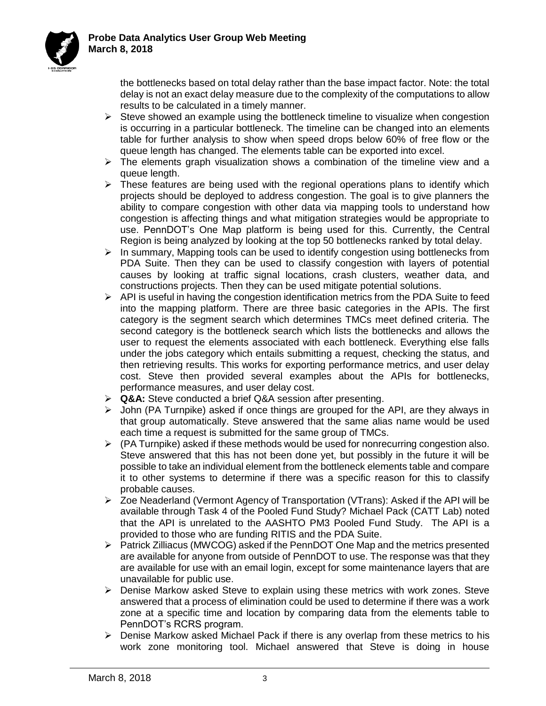

the bottlenecks based on total delay rather than the base impact factor. Note: the total delay is not an exact delay measure due to the complexity of the computations to allow results to be calculated in a timely manner.

- $\triangleright$  Steve showed an example using the bottleneck timeline to visualize when congestion is occurring in a particular bottleneck. The timeline can be changed into an elements table for further analysis to show when speed drops below 60% of free flow or the queue length has changed. The elements table can be exported into excel.
- ➢ The elements graph visualization shows a combination of the timeline view and a queue length.
- $\triangleright$  These features are being used with the regional operations plans to identify which projects should be deployed to address congestion. The goal is to give planners the ability to compare congestion with other data via mapping tools to understand how congestion is affecting things and what mitigation strategies would be appropriate to use. PennDOT's One Map platform is being used for this. Currently, the Central Region is being analyzed by looking at the top 50 bottlenecks ranked by total delay.
- $\triangleright$  In summary, Mapping tools can be used to identify congestion using bottlenecks from PDA Suite. Then they can be used to classify congestion with layers of potential causes by looking at traffic signal locations, crash clusters, weather data, and constructions projects. Then they can be used mitigate potential solutions.
- $\triangleright$  API is useful in having the congestion identification metrics from the PDA Suite to feed into the mapping platform. There are three basic categories in the APIs. The first category is the segment search which determines TMCs meet defined criteria. The second category is the bottleneck search which lists the bottlenecks and allows the user to request the elements associated with each bottleneck. Everything else falls under the jobs category which entails submitting a request, checking the status, and then retrieving results. This works for exporting performance metrics, and user delay cost. Steve then provided several examples about the APIs for bottlenecks, performance measures, and user delay cost.
- ➢ **Q&A:** Steve conducted a brief Q&A session after presenting.
- $\triangleright$  John (PA Turnpike) asked if once things are grouped for the API, are they always in that group automatically. Steve answered that the same alias name would be used each time a request is submitted for the same group of TMCs.
- $\triangleright$  (PA Turnpike) asked if these methods would be used for nonrecurring congestion also. Steve answered that this has not been done yet, but possibly in the future it will be possible to take an individual element from the bottleneck elements table and compare it to other systems to determine if there was a specific reason for this to classify probable causes.
- ➢ Zoe Neaderland (Vermont Agency of Transportation (VTrans): Asked if the API will be available through Task 4 of the Pooled Fund Study? Michael Pack (CATT Lab) noted that the API is unrelated to the AASHTO PM3 Pooled Fund Study. The API is a provided to those who are funding RITIS and the PDA Suite.
- ➢ Patrick Zilliacus (MWCOG) asked if the PennDOT One Map and the metrics presented are available for anyone from outside of PennDOT to use. The response was that they are available for use with an email login, except for some maintenance layers that are unavailable for public use.
- ➢ Denise Markow asked Steve to explain using these metrics with work zones. Steve answered that a process of elimination could be used to determine if there was a work zone at a specific time and location by comparing data from the elements table to PennDOT's RCRS program.
- ➢ Denise Markow asked Michael Pack if there is any overlap from these metrics to his work zone monitoring tool. Michael answered that Steve is doing in house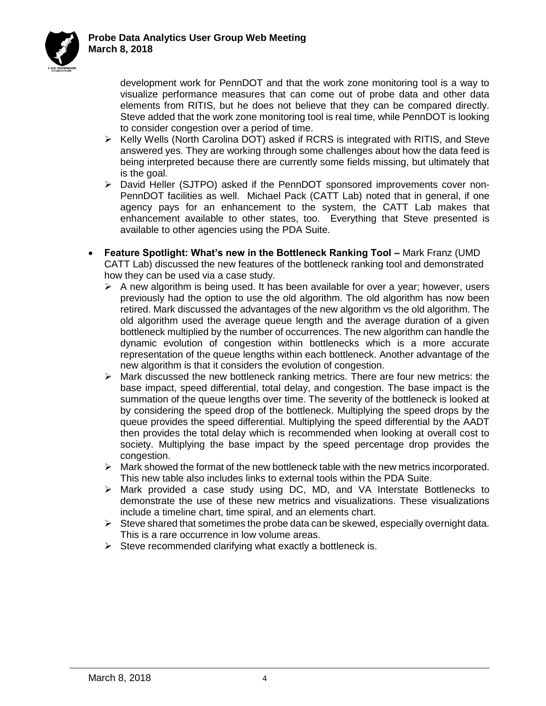

development work for PennDOT and that the work zone monitoring tool is a way to visualize performance measures that can come out of probe data and other data elements from RITIS, but he does not believe that they can be compared directly. Steve added that the work zone monitoring tool is real time, while PennDOT is looking to consider congestion over a period of time.

- ➢ Kelly Wells (North Carolina DOT) asked if RCRS is integrated with RITIS, and Steve answered yes. They are working through some challenges about how the data feed is being interpreted because there are currently some fields missing, but ultimately that is the goal.
- ➢ David Heller (SJTPO) asked if the PennDOT sponsored improvements cover non-PennDOT facilities as well. Michael Pack (CATT Lab) noted that in general, if one agency pays for an enhancement to the system, the CATT Lab makes that enhancement available to other states, too. Everything that Steve presented is available to other agencies using the PDA Suite.
- **Feature Spotlight: What's new in the Bottleneck Ranking Tool –** Mark Franz (UMD CATT Lab) discussed the new features of the bottleneck ranking tool and demonstrated how they can be used via a case study.
	- $\triangleright$  A new algorithm is being used. It has been available for over a year; however, users previously had the option to use the old algorithm. The old algorithm has now been retired. Mark discussed the advantages of the new algorithm vs the old algorithm. The old algorithm used the average queue length and the average duration of a given bottleneck multiplied by the number of occurrences. The new algorithm can handle the dynamic evolution of congestion within bottlenecks which is a more accurate representation of the queue lengths within each bottleneck. Another advantage of the new algorithm is that it considers the evolution of congestion.
	- $\triangleright$  Mark discussed the new bottleneck ranking metrics. There are four new metrics: the base impact, speed differential, total delay, and congestion. The base impact is the summation of the queue lengths over time. The severity of the bottleneck is looked at by considering the speed drop of the bottleneck. Multiplying the speed drops by the queue provides the speed differential. Multiplying the speed differential by the AADT then provides the total delay which is recommended when looking at overall cost to society. Multiplying the base impact by the speed percentage drop provides the congestion.
	- $\triangleright$  Mark showed the format of the new bottleneck table with the new metrics incorporated. This new table also includes links to external tools within the PDA Suite.
	- ➢ Mark provided a case study using DC, MD, and VA Interstate Bottlenecks to demonstrate the use of these new metrics and visualizations. These visualizations include a timeline chart, time spiral, and an elements chart.
	- $\triangleright$  Steve shared that sometimes the probe data can be skewed, especially overnight data. This is a rare occurrence in low volume areas.
	- $\triangleright$  Steve recommended clarifying what exactly a bottleneck is.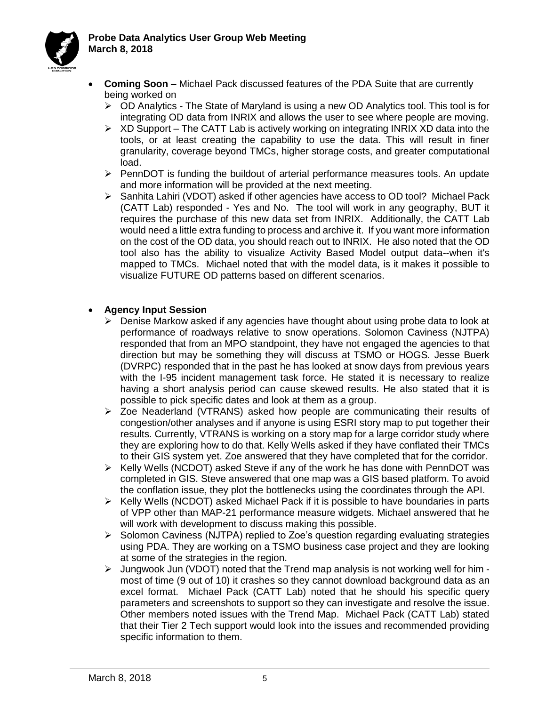

- **Coming Soon –** Michael Pack discussed features of the PDA Suite that are currently being worked on
	- ➢ OD Analytics The State of Maryland is using a new OD Analytics tool. This tool is for integrating OD data from INRIX and allows the user to see where people are moving.
	- $\triangleright$  XD Support The CATT Lab is actively working on integrating INRIX XD data into the tools, or at least creating the capability to use the data. This will result in finer granularity, coverage beyond TMCs, higher storage costs, and greater computational load.
	- $\triangleright$  PennDOT is funding the buildout of arterial performance measures tools. An update and more information will be provided at the next meeting.
	- ➢ Sanhita Lahiri (VDOT) asked if other agencies have access to OD tool? Michael Pack (CATT Lab) responded - Yes and No. The tool will work in any geography, BUT it requires the purchase of this new data set from INRIX. Additionally, the CATT Lab would need a little extra funding to process and archive it. If you want more information on the cost of the OD data, you should reach out to INRIX. He also noted that the OD tool also has the ability to visualize Activity Based Model output data--when it's mapped to TMCs. Michael noted that with the model data, is it makes it possible to visualize FUTURE OD patterns based on different scenarios.

## • **Agency Input Session**

- $\triangleright$  Denise Markow asked if any agencies have thought about using probe data to look at performance of roadways relative to snow operations. Solomon Caviness (NJTPA) responded that from an MPO standpoint, they have not engaged the agencies to that direction but may be something they will discuss at TSMO or HOGS. Jesse Buerk (DVRPC) responded that in the past he has looked at snow days from previous years with the I-95 incident management task force. He stated it is necessary to realize having a short analysis period can cause skewed results. He also stated that it is possible to pick specific dates and look at them as a group.
- $\geq$  Zoe Neaderland (VTRANS) asked how people are communicating their results of congestion/other analyses and if anyone is using ESRI story map to put together their results. Currently, VTRANS is working on a story map for a large corridor study where they are exploring how to do that. Kelly Wells asked if they have conflated their TMCs to their GIS system yet. Zoe answered that they have completed that for the corridor.
- $\triangleright$  Kelly Wells (NCDOT) asked Steve if any of the work he has done with PennDOT was completed in GIS. Steve answered that one map was a GIS based platform. To avoid the conflation issue, they plot the bottlenecks using the coordinates through the API.
- $\triangleright$  Kelly Wells (NCDOT) asked Michael Pack if it is possible to have boundaries in parts of VPP other than MAP-21 performance measure widgets. Michael answered that he will work with development to discuss making this possible.
- $\triangleright$  Solomon Caviness (NJTPA) replied to Zoe's question regarding evaluating strategies using PDA. They are working on a TSMO business case project and they are looking at some of the strategies in the region.
- ➢ Jungwook Jun (VDOT) noted that the Trend map analysis is not working well for him most of time (9 out of 10) it crashes so they cannot download background data as an excel format. Michael Pack (CATT Lab) noted that he should his specific query parameters and screenshots to support so they can investigate and resolve the issue. Other members noted issues with the Trend Map. Michael Pack (CATT Lab) stated that their Tier 2 Tech support would look into the issues and recommended providing specific information to them.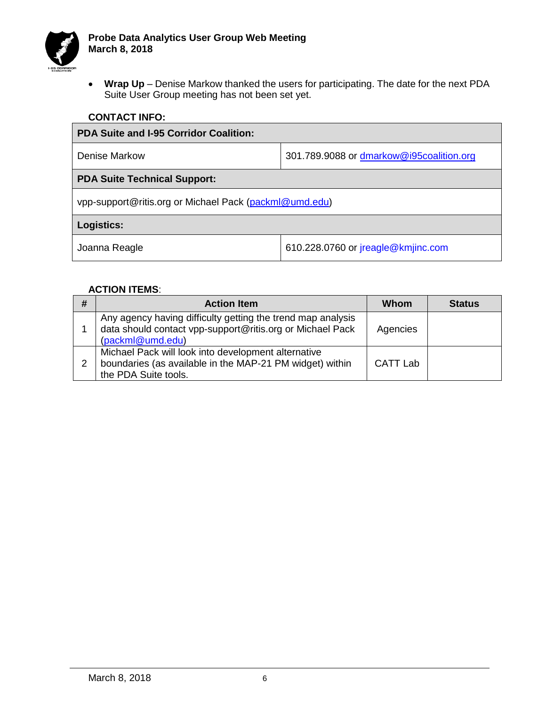

• **Wrap Up** – Denise Markow thanked the users for participating. The date for the next PDA Suite User Group meeting has not been set yet.

| <b>PDA Suite and I-95 Corridor Coalition:</b>          |                                          |  |  |  |  |
|--------------------------------------------------------|------------------------------------------|--|--|--|--|
| <b>Denise Markow</b>                                   | 301.789.9088 or dmarkow@i95coalition.org |  |  |  |  |
| <b>PDA Suite Technical Support:</b>                    |                                          |  |  |  |  |
| vpp-support@ritis.org or Michael Pack (packml@umd.edu) |                                          |  |  |  |  |
| Logistics:                                             |                                          |  |  |  |  |
| Joanna Reagle                                          | 610.228.0760 or jreagle@kmjinc.com       |  |  |  |  |

#### **ACTION ITEMS**:

| # | <b>Action Item</b>                                                                                                                           | Whom     | <b>Status</b> |
|---|----------------------------------------------------------------------------------------------------------------------------------------------|----------|---------------|
|   | Any agency having difficulty getting the trend map analysis<br>data should contact vpp-support@ritis.org or Michael Pack<br>(packml@umd.edu) | Agencies |               |
| 2 | Michael Pack will look into development alternative<br>boundaries (as available in the MAP-21 PM widget) within<br>the PDA Suite tools.      | CATT Lab |               |